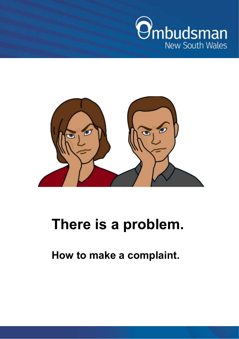



# **There is a problem.**

**How to make a complaint.**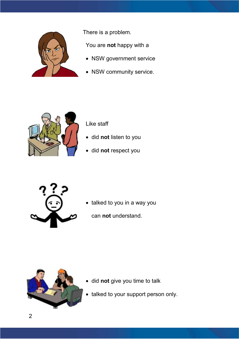

There is a problem.

You are **not** happy with a

- NSW government service
- NSW community service.



Like staff

- did **not** listen to you
- did **not** respect you



• talked to you in a way you

can **not** understand.



- did **not** give you time to talk
- talked to your support person only.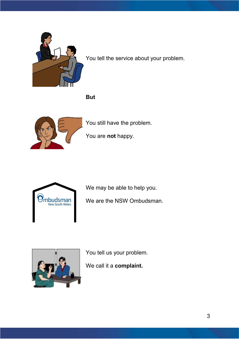

You tell the service about your problem.

**But**



You still have the problem.

You are **not** happy.



We may be able to help you.

We are the NSW Ombudsman.



You tell us your problem.

We call it a **complaint.**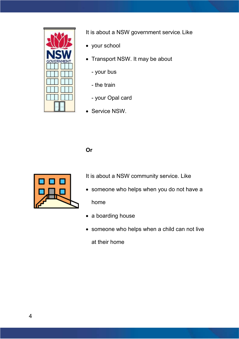

It is about a NSW government service. Like

- your school
- Transport NSW. It may be about
	- your bus
	- the train
	- your Opal card
- Service NSW.

#### **Or**



It is about a NSW community service. Like

- someone who helps when you do not have a home
- a boarding house
- someone who helps when a child can not live

at their home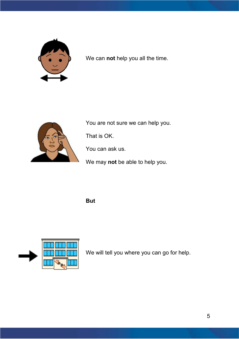

We can **not** help you all the time.



You are not sure we can help you.

That is OK.

You can ask us.

We may **not** be able to help you.

**But**



We will tell you where you can go for help.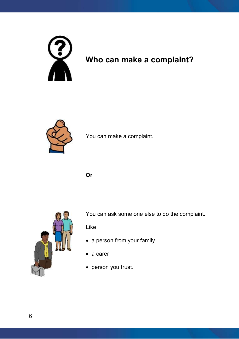

## **Who can make a complaint?**



You can make a complaint.

**Or**



You can ask some one else to do the complaint.

Like

- a person from your family
- a carer
- person you trust.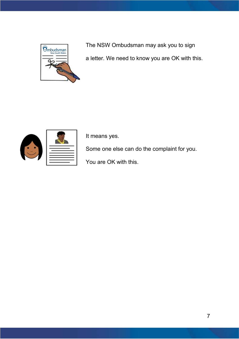

The NSW Ombudsman may ask you to sign a letter. We need to know you are OK with this.



It means yes.

Some one else can do the complaint for you.

You are OK with this.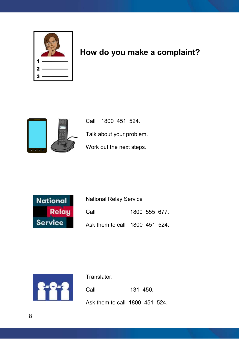

### **How do you make a complaint?**



Call 1800 451 524. Talk about your problem. Work out the next steps.



National Relay Service Call 1800 555 677. Ask them to call 1800 451 524.



Translator.

Call 131 450.

Ask them to call 1800 451 524.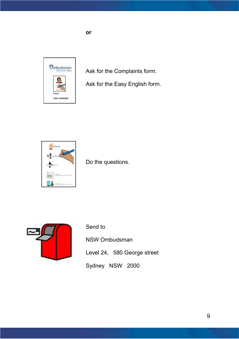

Ask for the Complaints form.

Ask for the Easy English form.



Do the questions.



Send to

NSW Ombudsman

- Level 24, 580 George street
- Sydney NSW 2000

**or**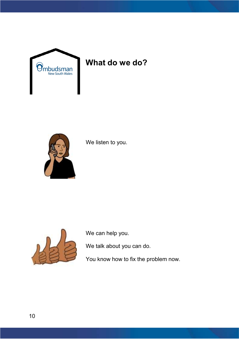

### **What do we do?**



We listen to you.



We can help you.

We talk about you can do.

You know how to fix the problem now.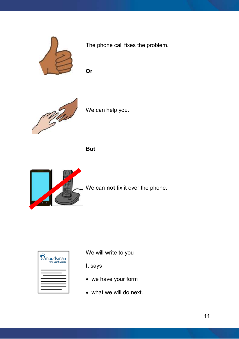

The phone call fixes the problem.

**Or** 



We can help you.

**But**



We can **not** fix it over the phone.

| $\Theta$ mbudsman<br><b>New South Wales</b> |
|---------------------------------------------|
|                                             |
|                                             |
|                                             |

We will write to you

It says

- we have your form
- what we will do next.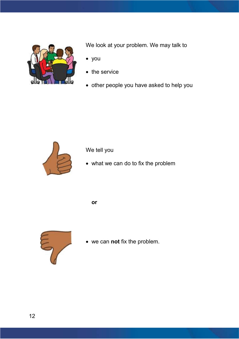

We look at your problem. We may talk to

- you
- the service
- other people you have asked to help you



We tell you

what we can do to fix the problem

**or**



we can **not** fix the problem.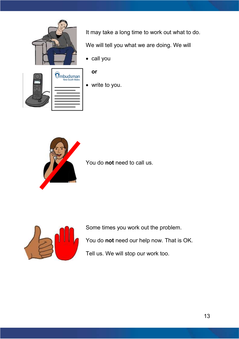

It may take a long time to work out what to do.

We will tell you what we are doing. We will

• call you



#### **or**

write to you.



You do **not** need to call us.



Some times you work out the problem. You do **not** need our help now. That is OK.

Tell us. We will stop our work too.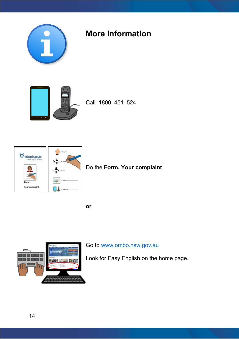

### **More information**



Call 1800 451 524



**or**



Go to [www.ombo.nsw.gov.au](http://www.ombo.nsw.gov.au/)

Look for Easy English on the home page.